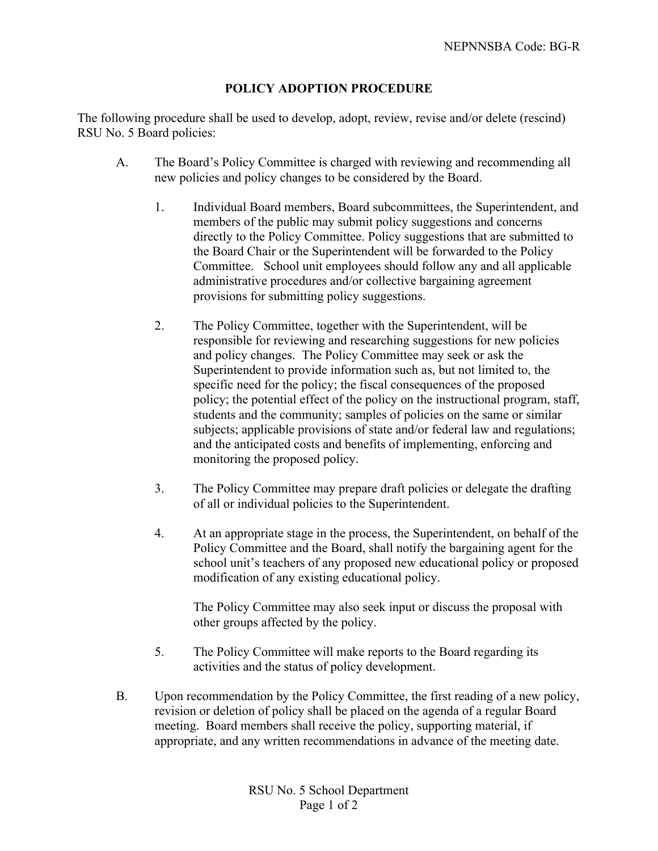## **POLICY ADOPTION PROCEDURE**

The following procedure shall be used to develop, adopt, review, revise and/or delete (rescind) RSU No. 5 Board policies:

- A. The Board's Policy Committee is charged with reviewing and recommending all new policies and policy changes to be considered by the Board.
	- 1. Individual Board members, Board subcommittees, the Superintendent, and members of the public may submit policy suggestions and concerns directly to the Policy Committee. Policy suggestions that are submitted to the Board Chair or the Superintendent will be forwarded to the Policy Committee. School unit employees should follow any and all applicable administrative procedures and/or collective bargaining agreement provisions for submitting policy suggestions.
	- 2. The Policy Committee, together with the Superintendent, will be responsible for reviewing and researching suggestions for new policies and policy changes. The Policy Committee may seek or ask the Superintendent to provide information such as, but not limited to, the specific need for the policy; the fiscal consequences of the proposed policy; the potential effect of the policy on the instructional program, staff, students and the community; samples of policies on the same or similar subjects; applicable provisions of state and/or federal law and regulations; and the anticipated costs and benefits of implementing, enforcing and monitoring the proposed policy.
	- 3. The Policy Committee may prepare draft policies or delegate the drafting of all or individual policies to the Superintendent.
	- 4. At an appropriate stage in the process, the Superintendent, on behalf of the Policy Committee and the Board, shall notify the bargaining agent for the school unit's teachers of any proposed new educational policy or proposed modification of any existing educational policy.

The Policy Committee may also seek input or discuss the proposal with other groups affected by the policy.

- 5. The Policy Committee will make reports to the Board regarding its activities and the status of policy development.
- B. Upon recommendation by the Policy Committee, the first reading of a new policy, revision or deletion of policy shall be placed on the agenda of a regular Board meeting. Board members shall receive the policy, supporting material, if appropriate, and any written recommendations in advance of the meeting date.